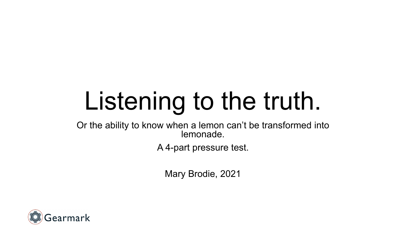# Listening to the truth.

Or the ability to know when a lemon can't be transformed into lemonade.

A 4-part pressure test.

Mary Brodie, 2021

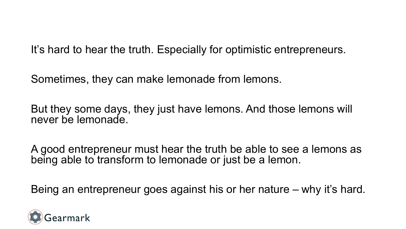It's hard to hear the truth. Especially for optimistic entrepreneurs.

Sometimes, they can make lemonade from lemons.

But they some days, they just have lemons. And those lemons will never be lemonade.

A good entrepreneur must hear the truth be able to see a lemons as being able to transform to lemonade or just be a lemon.

Being an entrepreneur goes against his or her nature – why it's hard.

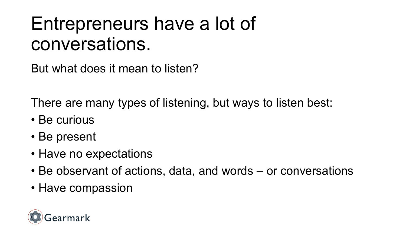### Entrepreneurs have a lot of conversations.

But what does it mean to listen?

There are many types of listening, but ways to listen best:

- Be curious
- Be present
- Have no expectations
- Be observant of actions, data, and words or conversations
- Have compassion

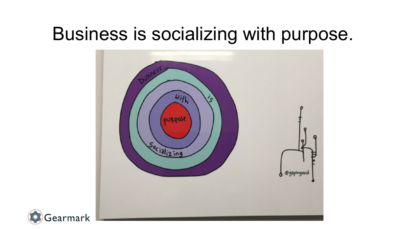### Business is socializing with purpose.



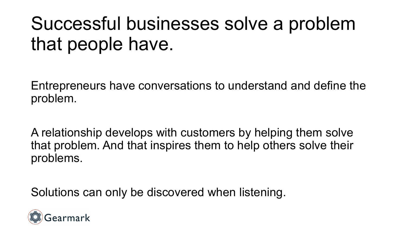# Successful businesses solve a problem that people have.

Entrepreneurs have conversations to understand and define the problem.

A relationship develops with customers by helping them solve that problem. And that inspires them to help others solve their problems.

Solutions can only be discovered when listening.

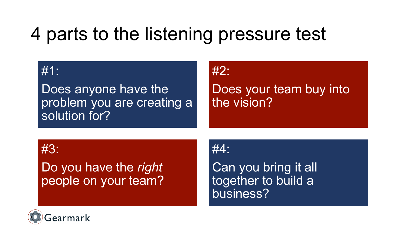# 4 parts to the listening pressure test

#### #1:

Does anyone have the problem you are creating a solution for?

#### #2:

Does your team buy into the vision?

#3:

#### Do you have the *right* people on your team?

#4:

Can you bring it all together to build a business?

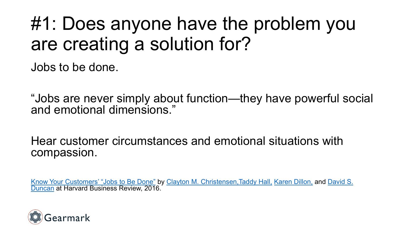### #1: Does anyone have the problem you are creating a solution for?

Jobs to be done.

"Jobs are never simply about function—they have powerful social and emotional dimensions."

Hear customer circumstances and emotional situations with compassion.

[Know Your Customers' "Jobs to Be Done"](https://hbr.org/search?term=david%20s.%20duncan) by [Clayton M. Christensen,Taddy](https://hbr.org/search?term=clayton%20m.%20christensen) Hall, [Karen Dillon,](https://hbr.org/search?term=karen%20dillon) and David S. Duncan at Harvard Business Review, 2016.

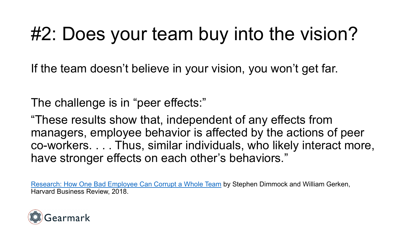# #2: Does your team buy into the vision?

If the team doesn't believe in your vision, you won't get far.

The challenge is in "peer effects:"

"These results show that, independent of any effects from managers, employee behavior is affected by the actions of peer co-workers. . . . Thus, similar individuals, who likely interact more, have stronger effects on each other's behaviors."

[Research: How One Bad Employee Can Corrupt a Whole Team](https://hbr.org/2018/03/research-how-one-bad-employee-can-corrupt-a-whole-team) by Stephen Dimmock and William Gerken, Harvard Business Review, 2018.

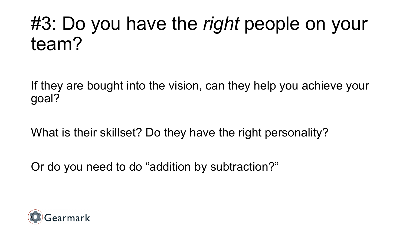# #3: Do you have the *right* people on your team?

If they are bought into the vision, can they help you achieve your goal?

What is their skillset? Do they have the right personality?

Or do you need to do "addition by subtraction?"

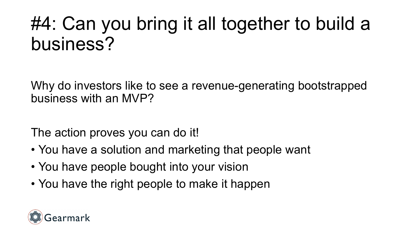# #4: Can you bring it all together to build a business?

Why do investors like to see a revenue-generating bootstrapped business with an MVP?

The action proves you can do it!

- You have a solution and marketing that people want
- You have people bought into your vision
- You have the right people to make it happen

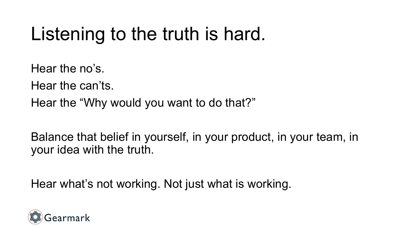# Listening to the truth is hard.

Hear the no's.

Hear the can'ts.

Hear the "Why would you want to do that?"

Balance that belief in yourself, in your product, in your team, in your idea with the truth.

Hear what's not working. Not just what is working.

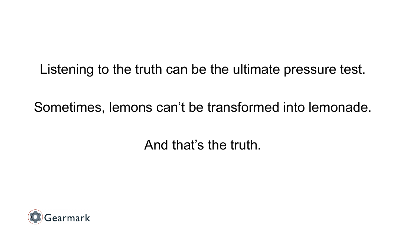Listening to the truth can be the ultimate pressure test.

Sometimes, lemons can't be transformed into lemonade.

And that's the truth.